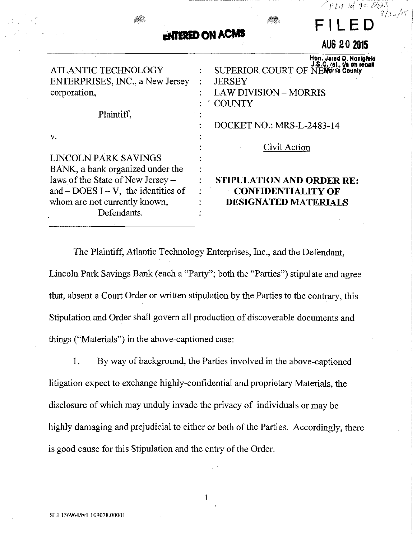|                                                                                                                                                                  | PDF 14 to 888<br>8/26/15<br>FILED<br><b>ENTERED ON ACMS</b><br>AUG 20 2015                                                     |
|------------------------------------------------------------------------------------------------------------------------------------------------------------------|--------------------------------------------------------------------------------------------------------------------------------|
| <b>ATLANTIC TECHNOLOGY</b><br>ENTERPRISES, INC., a New Jersey<br>corporation,                                                                                    | Hon. Jared D. Honigfeld<br>SUPERIOR COURT OF NEW YIRE County<br><b>JERSEY</b><br><b>LAW DIVISION - MORRIS</b><br><b>COUNTY</b> |
| Plaintiff,                                                                                                                                                       |                                                                                                                                |
| V.<br><b>LINCOLN PARK SAVINGS</b>                                                                                                                                | <b>DOCKET NO.: MRS-L-2483-14</b><br>Civil Action                                                                               |
| BANK, a bank organized under the<br>laws of the State of New Jersey -<br>and $-$ DOES I $-$ V, the identities of<br>whom are not currently known,<br>Defendants. | <b>STIPULATION AND ORDER RE:</b><br><b>CONFIDENTIALITY OF</b><br><b>DESIGNATED MATERIALS</b>                                   |

The Plaintiff, Atlantic Technology Enterprises, Inc., and the Defendant, Lincoln Park Savings Bank (each a "Party"; both the "Parties") stipulate and agree that, absent a Court Order or written stipulation by the Parties to the contrary, this Stipulation and Order shall govern all production of discoverable documents and things ("Materials") in the above-captioned case:

1. By way of background, the Parties involved in the above-captioned litigation expect to exchange highly-confidential and proprietary Materials, the disclosure of which may unduly invade the privacy of individuals or may be highly damaging and prejudicial to either or both of the Parties. Accordingly, there is good cause for this Stipulation and the entry of the Order.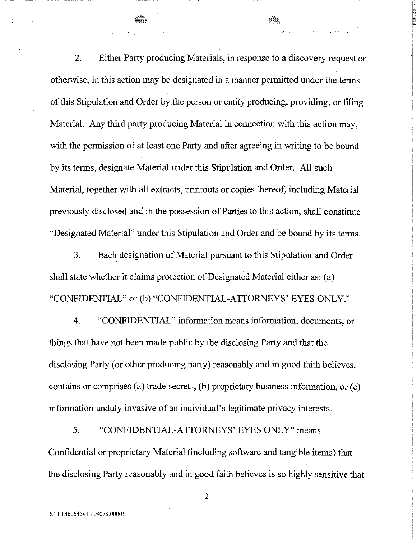2. Either Party producing Materials, in response to a discovery request or otherwise, in this action may be designated in a manner permitted under the terms of this Stipulation and Order by the person or entity producing, providing, or filing Material. Any third party producing Material in connection with this action may, with the permission of at least one Party and after agreeing in writing to be bound by its terms, designate Material under this Stipulation and Order. All such Material, together with all extracts, printouts or copies thereof, including Material previously disclosed and in the possession of Parties to this action, shall constitute "Designated Material" under this Stipulation and Order and be bound by its terms.

3. Each designation of Material pursuant to this Stipulation and Order shall state whether it claims protection of Designated Material either as: (a) "CONFIDENTIAL" or (b) "CONFIDENTIAL-ATTORNEYS' EYES ONLY."

4. "CONFIDENTIAL" information means information, documents, or things that have not been made public by the disclosing Party and that the disclosing Party (or other producing party) reasonably and in good faith believes, contains or comprises (a) trade secrets, (b) proprietary business information, or (c) information unduly invasive of an individual's legitimate privacy interests.

5. "CONFIDENTIAL-ATTORNEYS' EYES ONLY" means Confidential or proprietary Material (including software and tangible items) that the disclosing Party reasonably and in good faith believes is so highly sensitive that

 $\frac{1}{2} \left( \frac{1}{2} \right)^{\frac{1}{2}} \frac{1}{2} \left( \frac{1}{2} \right)^{\frac{1}{2}}$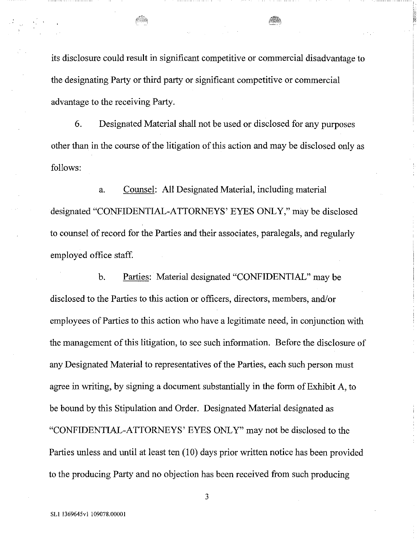its disclosure could result in significant competitive or commercial disadvantage to the designating Party or third party or significant competitive or commercial advantage to the receiving Party.

6. Designated Material shall not be used or disclosed for any purposes other than in the course of the litigation of this action and may be disclosed only as follows:

a. Counsel: All Designated Material, including material designated "CONFIDENTIAL-ATTORNEYS' EYES ONLY," may be disclosed to counsel of record for the Parties and their associates, paralegals, and regularly employed office staff.

b. Parties: Material designated "CONFIDENTIAL" may be disclosed to the Parties to this action or officers, directors, members, and/or employees of Parties to this action who have a legitimate need, in conjunction with the management of this litigation, to see such information. Before the disclosure of any Designated Material to representatives of the Parties, each such person must agree in writing, by signing a document substantially in the form of Exhibit A, to be bound by this Stipulation and Order. Designated Material designated as "CONFIDENTIAL-ATTORNEYS' EYES ONLY" may not be disclosed to the Parties unless and until at least ten (10) days prior written notice has been provided to the producing Party and no objection has been received from such producing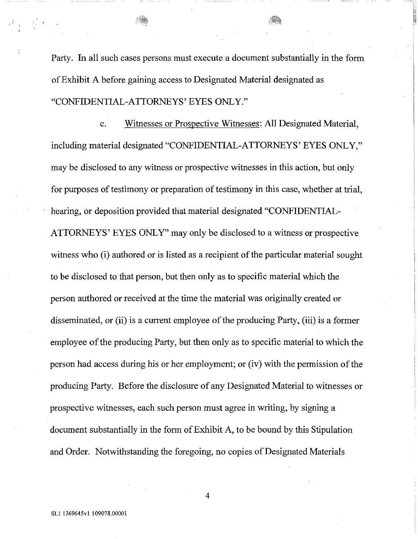Party. **In** all such cases persons must execute a document substantially **in** the form ofExhibit A before gaining access to Designated Material designated as "CONFIDENTIAL-ATTORNEYS' EYES ONLY."

c. Witnesses or Prospective Witnesses: All Designated Material, including material designated "CONFIDENTIAL-ATTORNEYS' EYES ONLY," may be disclosed to any witness or prospective witnesses **in** this action, but only for purposes of testimony or preparation of testimony in this case, whether at trial, hearing, or deposition provided that material designated "CONFIDENTIAL-ATTORNEYS' EYES ONLY" may only be disclosed to a witness or prospective witness who (i) authored or is listed as a recipient of the particular material sought to be disclosed to that person, but then only as to specific material which the person authored or received at the time the material was originally created or disseminated, or (ii) is a current employee of the producing Party, (iii) is a former employee of the producing Party, but then only as to specific material to which the person had access during his or her employment; or (iv) with the permission of the producing Party. Before the disclosure of any Designated Material to witnesses or prospective witnesses, each such person must agree **in** writing, by signing a document substantially in the form of Exhibit A, to be bound by this Stipulation and Order. Notwithstanding the foregoing, no copies of Designated Materials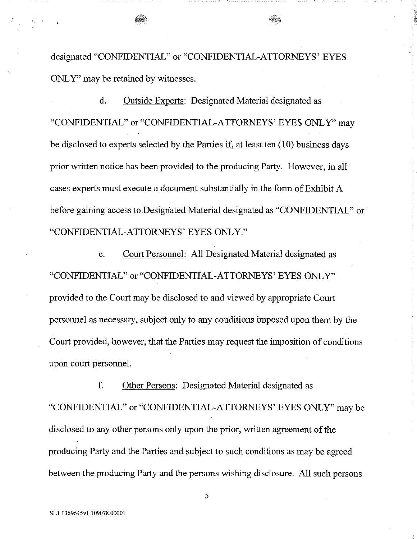designated "CONFIDENTIAL" or "CONFIDENTIAL-ATTORNEYS' EYES ONLY" may be retained by witnesses.

d. Outside Experts: Designated Material designated as "CONFIDENTIAL" or "CONFIDENTIAL-ATTORNEYS' EYES ONLY" may be disclosed to experts selected by the Parties if, at least ten (10) business days prior written notice has been provided to the producing Party. However, in all cases experts must execute a document substantially in the form of Exhibit A before gaining access to Designated Material designated as "CONFIDENTIAL" or "CONFIDENTIAL-ATTORNEYS' EYES ONLY."

e. Court Personnel: All Designated Material designated as "CONFIDENTIAL" or "CONFIDENTIAL-ATTORNEYS' EYES ONLY" provided to the Court may be disclosed to and viewed by appropriate Court personnel as necessary, subject only to any conditions imposed upon them by the Court provided, however, that the Parties may request the imposition of conditions upon court personneL

f. Other Persons: Designated Material designated as "CONFIDENTIAL" or "CONFIDENTIAL-ATTORNEYS' EYES ONLY" may be disclosed to any other persons only upon the prior, written agreement of the producing Party and the Parties and subject to such conditions as may be agreed between the producing Party and the persons wishing disclosure. All such persons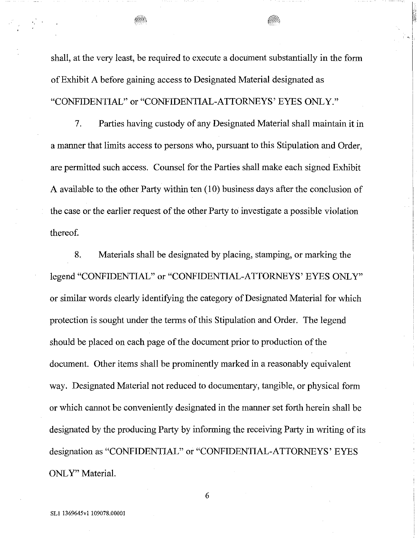shall, at the very least, be required to execute a document substantially in the form ofExhibit A before gaining access to Designated Material designated as "CONFIDENTIAL" or "CONFIDENTIAL-ATTORNEYS' EYES ONLY."

7. Parties having custody of any Designated Material shall maintain it in a manner that limits access to persons who, pursuant to this Stipulation and Order, are permitted such access. Counsel for the Parties shall make each signed Exhibit A available to the other Party within ten (10) business days after the conclusion of the case or the earlier request of the other Party to investigate a possible violation thereof.

8. Materials shall be designated by placing, stamping, or marking the legend "CONFIDENTIAL" or "CONFIDENTIAL-ATTORNEYS' EYES ONLY" or similar words clearly identifying the category of Designated Material for which protection is sought under the terms of this Stipulation and Order. The legend should be placed on each page of the document prior to production of the document. Other items shall be prominently marked in a reasonably equivalent way. Designated Material not reduced to documentary, tangible, or physical form or which cannot be conveniently designated in the manner set forth herein shall be designated by the producing Party by informing the receiving Party in writing of its designation as "CONFIDENTIAL" or "CONFIDENTIAL-ATTORNEYS' EYES ONLY" Material.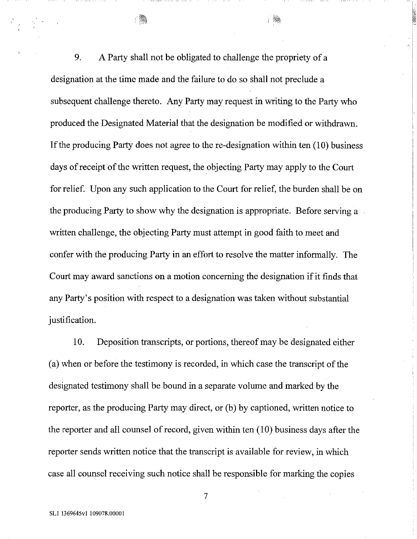9. A Party shall not be obligated to challenge the propriety of a designation at the time made and the failure to do so shall not preclude a subsequent challenge thereto. Any Party may request in writing to the Party who produced the Designated Material that the designation be modified or withdrawn. If the producing Party does not agree to the re-designation within ten  $(10)$  business days of receipt of the written request, the objecting Party may apply to the Court for relief. Upon any such application to the Court for relief, the burden shall be on the producing Party to show why the designation is appropriate. Before serving a written challenge, the objecting Party must attempt in good faith to meet and confer with the producing Party in an effort to resolve the matter informally, The Court may award sanctions on a motion concerning the designation if it finds that any Party's position with respect to a designation was taken without substantial justification.

10. Deposition transcripts, or portions, thereof may be designated either  $(a)$  when or before the testimony is recorded, in which case the transcript of the designated testimony shall be bound in a separate volume and marked by the reporter, as the producing Party may direct, or (b) by captioned, written notice to the reporter and all counsel of record, given within ten  $(10)$  business days after the reporter sends written notice that the transcript is available for review, in which case all counsel receiving such notice shall be responsible for marking the copies

SL1 1369645v1 109078.00001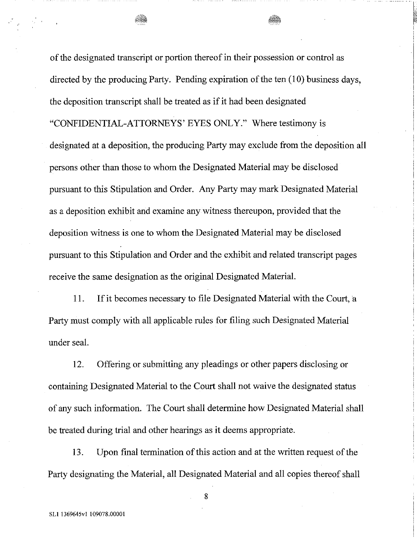of the designated transcript or portion thereof in their possession or control as directed by the producing Party. Pending expiration of the ten  $(10)$  business days, the deposition transcript shall be treated as if it had been designated "CONFIDENTIAL-ATTORNEYS' EYES ONLY." Where testimony is designated at a deposition, the producing Party may exclude from the deposition all persons other than those to whom the Designated Material may be disclosed pursuant to this Stipulation and Order. Any Party may mark Designated Material as a deposition exhibit and examine any witness thereupon, provided that the deposition witness is one to whom the Designated Material may be disclosed pursuant to this Stipulation and Order and the exhibit and related transcript pages receive the same designation as the original Designated Materia!.

11. **If**it becomes necessary to file Designated Material with the Court,a Party must comply with all applicable rules for filing such Designated Material under seal.

12. Offering or submitting any pleadings or other papers disclosing or containing Designated Material to the Court shall not waive the designated status of any such information. The Court shall determine how Designated Material shall be treated during trial and other hearings as it deems appropriate.

13. Upon final termination of this action and at the written request of the Party designating the Material, all Designated Material and all copies thereof shall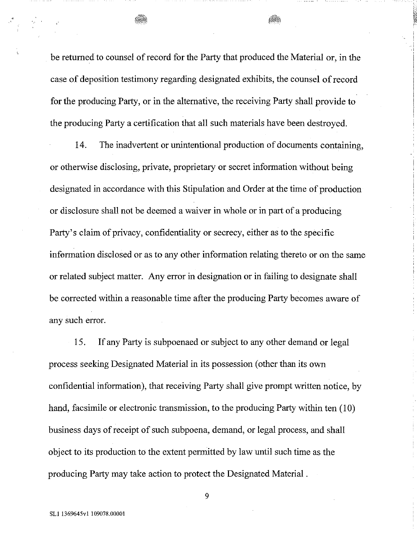be returned to counsel of record for the Party that produced the Material or, in the case of deposition testimony regarding designated exhibits, the counsel ofrecord for the producing Party, or in the alternative, the receiving Party shall provide to the producing Party a certification that all such materials have been destroyed.

14. The inadvertent or unintentional production of documents containing, or otherwise disclosing, private, proprietary or secret information without being designated in accordance with this Stipulation and Order at the time of production or disclosure shall not be deemed a waiver in whole or in part of a producing Party's claim of privacy, confidentiality or secrecy, either as to the specific information disclosed or as to any other information relating thereto or on the same or related subject matter. Any error in designation or in failing to designate shall be corrected within a reasonable time after the producing Party becomes aware of any such error.

15. If any Party is subpoenaed or subject to any other demand or legal process seeking Designated Material in its possession (other than its own confidential information), that receiving Party shall give prompt written notice, by hand, facsimile or electronic transmission, to the producing Party within ten (10) business days of receipt of such subpoena, demand, or legal process, and shall object to its production to the extent permitted by law until such time as the producing Party may take action to protect the Designated Material .

SLi 1369645v1 109078.00001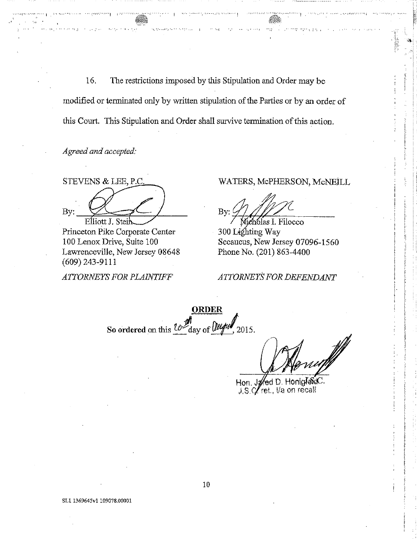16. The restrictions imposed by this Stipulation and Order may be modified or terminated only by written stipulation of the Parties or by an order of this Court. This Stipulation and Order shall survive termination of this action.

*Agreedand accepted:*

···1 . :-.- ! \_'c.

STEVENS & LEE, P.C  $_{\rm By:}$   $\frac{Q}{E}$ 

Princeton Pike Corporate Center 100 Lenox Drive, Suite 100 Lawrenceville, New Jersey 08648 (609) 243-9111

*ATTORNEYS FOR PLAINTIFF*

## WATERS, McPHERSON, McNEiLL

1\_' , :

'. " ~'

 $\begin{picture}(20,20) \put(0,0){\line(1,0){155}} \put(15,0){\line(1,0){155}} \put(15,0){\line(1,0){155}} \put(15,0){\line(1,0){155}} \put(15,0){\line(1,0){155}} \put(15,0){\line(1,0){155}} \put(15,0){\line(1,0){155}} \put(15,0){\line(1,0){155}} \put(15,0){\line(1,0){155}} \put(15,0){\line(1,0){155}} \put(15,0){\line(1,0){155}} \$ 

r .': ,

*?;7L* By:

ichólas I. Filocco 300 Lighting Way Secaucus, New Jersey 07096-1560 Phone No. (201) 863-4400

*ATTORNEYSFOR DEFENDAl'lT*

**ORDER** So ordered on this  $\frac{10\%}{100}$  day of  $\frac{0\%}{100}$ , 2015.

Hon. J**a⁄**ed D. Honiglaid<br>J.S.C⁄ ret., Va on recall